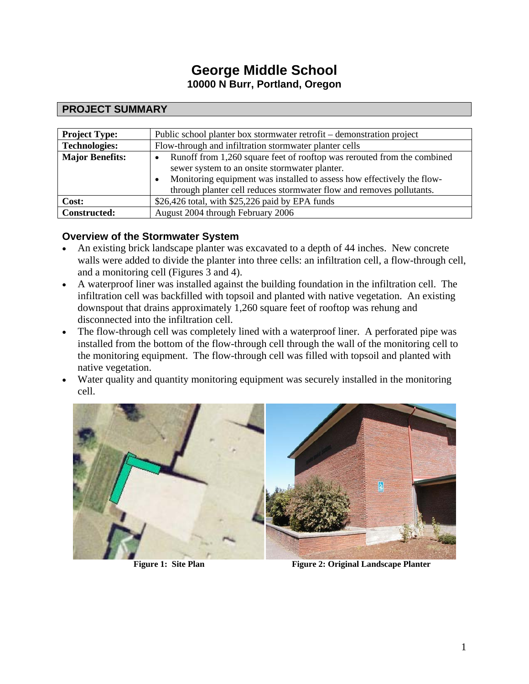# **George Middle School 10000 N Burr, Portland, Oregon**

#### **PROJECT SUMMARY**

| <b>Project Type:</b>   | Public school planter box stormwater retrofit – demonstration project                                                                                                                                           |  |  |
|------------------------|-----------------------------------------------------------------------------------------------------------------------------------------------------------------------------------------------------------------|--|--|
| <b>Technologies:</b>   | Flow-through and infiltration stormwater planter cells                                                                                                                                                          |  |  |
| <b>Major Benefits:</b> | Runoff from 1,260 square feet of rooftop was rerouted from the combined<br>$\bullet$<br>sewer system to an onsite stormwater planter.<br>Monitoring equipment was installed to assess how effectively the flow- |  |  |
|                        | through planter cell reduces stormwater flow and removes pollutants.                                                                                                                                            |  |  |
| Cost:                  | \$26,426 total, with \$25,226 paid by EPA funds                                                                                                                                                                 |  |  |
| <b>Constructed:</b>    | August 2004 through February 2006                                                                                                                                                                               |  |  |

## **Overview of the Stormwater System**

- An existing brick landscape planter was excavated to a depth of 44 inches. New concrete walls were added to divide the planter into three cells: an infiltration cell, a flow-through cell, and a monitoring cell (Figures 3 and 4).
- A waterproof liner was installed against the building foundation in the infiltration cell. The infiltration cell was backfilled with topsoil and planted with native vegetation. An existing downspout that drains approximately 1,260 square feet of rooftop was rehung and disconnected into the infiltration cell.
- The flow-through cell was completely lined with a waterproof liner. A perforated pipe was installed from the bottom of the flow-through cell through the wall of the monitoring cell to the monitoring equipment. The flow-through cell was filled with topsoil and planted with native vegetation.
- Water quality and quantity monitoring equipment was securely installed in the monitoring cell.



Figure 1: Site Plan Figure 2: Original Landscape Planter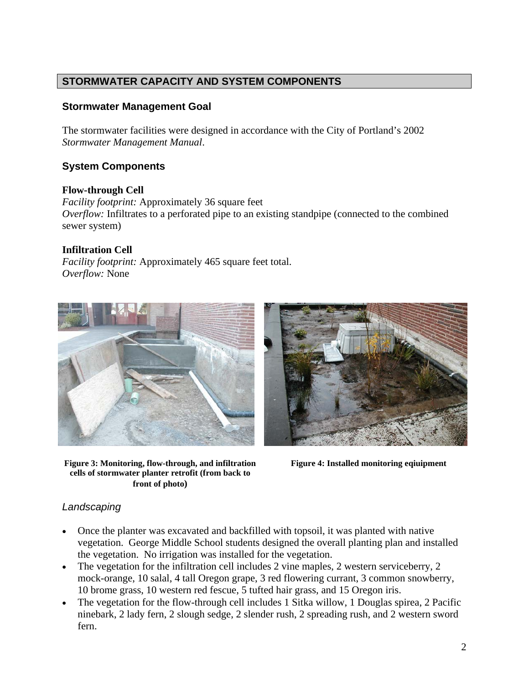# **STORMWATER CAPACITY AND SYSTEM COMPONENTS**

## **Stormwater Management Goal**

The stormwater facilities were designed in accordance with the City of Portland's 2002 *Stormwater Management Manual*.

# **System Components**

#### **Flow-through Cell**

*Facility footprint:* Approximately 36 square feet *Overflow:* Infiltrates to a perforated pipe to an existing standpipe (connected to the combined sewer system)

## **Infiltration Cell**

*Facility footprint:* Approximately 465 square feet total. *Overflow:* None



**Figure 3: Monitoring, flow-through, and infiltration cells of stormwater planter retrofit (from back to front of photo)** 

**Figure 4: Installed monitoring eqiuipment**

# *Landscaping*

- Once the planter was excavated and backfilled with topsoil, it was planted with native vegetation. George Middle School students designed the overall planting plan and installed the vegetation. No irrigation was installed for the vegetation.
- The vegetation for the infiltration cell includes 2 vine maples, 2 western serviceberry, 2 mock-orange, 10 salal, 4 tall Oregon grape, 3 red flowering currant, 3 common snowberry, 10 brome grass, 10 western red fescue, 5 tufted hair grass, and 15 Oregon iris.
- The vegetation for the flow-through cell includes 1 Sitka willow, 1 Douglas spirea, 2 Pacific ninebark, 2 lady fern, 2 slough sedge, 2 slender rush, 2 spreading rush, and 2 western sword fern.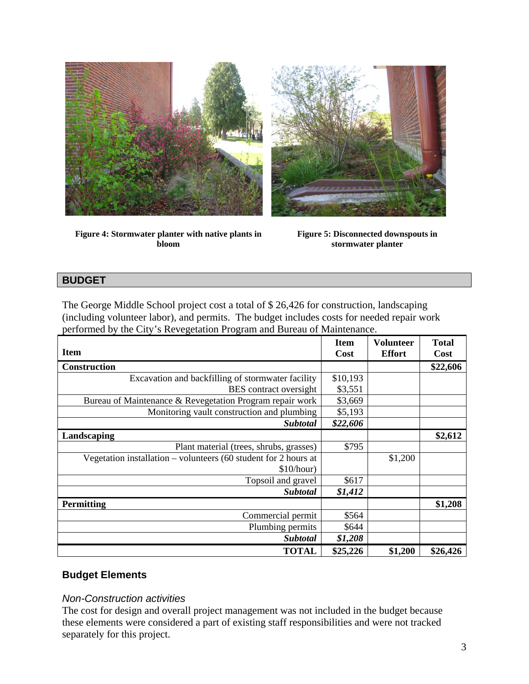

**Figure 4: Stormwater planter with native plants in bloom**

**Figure 5: Disconnected downspouts in stormwater planter**

# **BUDGET**

The George Middle School project cost a total of \$ 26,426 for construction, landscaping (including volunteer labor), and permits. The budget includes costs for needed repair work performed by the City's Revegetation Program and Bureau of Maintenance.

| <b>Item</b>                                                                   | <b>Item</b><br>Cost | <b>Volunteer</b><br><b>Effort</b> | <b>Total</b><br>Cost |
|-------------------------------------------------------------------------------|---------------------|-----------------------------------|----------------------|
| <b>Construction</b>                                                           |                     |                                   | \$22,606             |
| Excavation and backfilling of stormwater facility                             | \$10,193            |                                   |                      |
| BES contract oversight                                                        | \$3,551             |                                   |                      |
| Bureau of Maintenance & Revegetation Program repair work                      |                     |                                   |                      |
| Monitoring vault construction and plumbing                                    |                     |                                   |                      |
| <b>Subtotal</b>                                                               | \$22,606            |                                   |                      |
| Landscaping                                                                   |                     |                                   | \$2,612              |
| Plant material (trees, shrubs, grasses)                                       | \$795               |                                   |                      |
| Vegetation installation – volunteers (60 student for 2 hours at<br>\$10/hour) |                     | \$1,200                           |                      |
| Topsoil and gravel                                                            | \$617               |                                   |                      |
| <b>Subtotal</b>                                                               | \$1,412             |                                   |                      |
| <b>Permitting</b>                                                             |                     |                                   | \$1,208              |
| Commercial permit                                                             | \$564               |                                   |                      |
| Plumbing permits                                                              | \$644               |                                   |                      |
| Subtotal                                                                      | \$1,208             |                                   |                      |
| <b>TOTAL</b>                                                                  | \$25,226            | \$1,200                           | \$26,426             |

## **Budget Elements**

#### *Non-Construction activities*

The cost for design and overall project management was not included in the budget because these elements were considered a part of existing staff responsibilities and were not tracked separately for this project.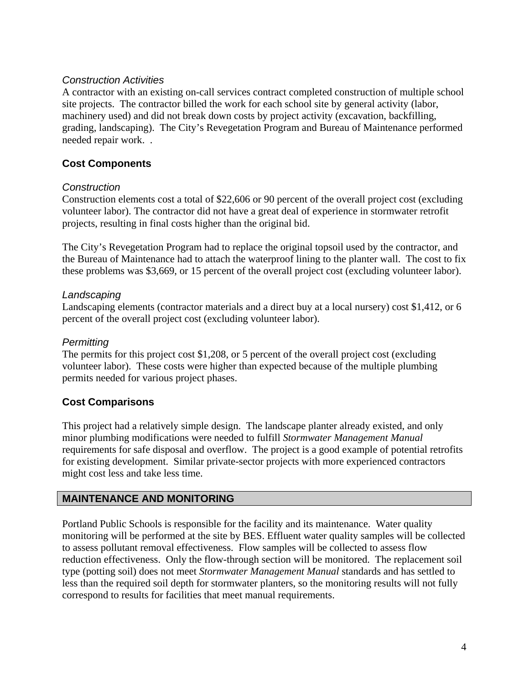#### *Construction Activities*

A contractor with an existing on-call services contract completed construction of multiple school site projects. The contractor billed the work for each school site by general activity (labor, machinery used) and did not break down costs by project activity (excavation, backfilling, grading, landscaping). The City's Revegetation Program and Bureau of Maintenance performed needed repair work. .

# **Cost Components**

#### *Construction*

Construction elements cost a total of \$22,606 or 90 percent of the overall project cost (excluding volunteer labor). The contractor did not have a great deal of experience in stormwater retrofit projects, resulting in final costs higher than the original bid.

The City's Revegetation Program had to replace the original topsoil used by the contractor, and the Bureau of Maintenance had to attach the waterproof lining to the planter wall. The cost to fix these problems was \$3,669, or 15 percent of the overall project cost (excluding volunteer labor).

## *Landscaping*

Landscaping elements (contractor materials and a direct buy at a local nursery) cost \$1,412, or 6 percent of the overall project cost (excluding volunteer labor).

#### *Permitting*

The permits for this project cost \$1,208, or 5 percent of the overall project cost (excluding volunteer labor). These costs were higher than expected because of the multiple plumbing permits needed for various project phases.

# **Cost Comparisons**

This project had a relatively simple design. The landscape planter already existed, and only minor plumbing modifications were needed to fulfill *Stormwater Management Manual* requirements for safe disposal and overflow. The project is a good example of potential retrofits for existing development. Similar private-sector projects with more experienced contractors might cost less and take less time.

# **MAINTENANCE AND MONITORING**

Portland Public Schools is responsible for the facility and its maintenance. Water quality monitoring will be performed at the site by BES. Effluent water quality samples will be collected to assess pollutant removal effectiveness. Flow samples will be collected to assess flow reduction effectiveness. Only the flow-through section will be monitored. The replacement soil type (potting soil) does not meet *Stormwater Management Manual* standards and has settled to less than the required soil depth for stormwater planters, so the monitoring results will not fully correspond to results for facilities that meet manual requirements.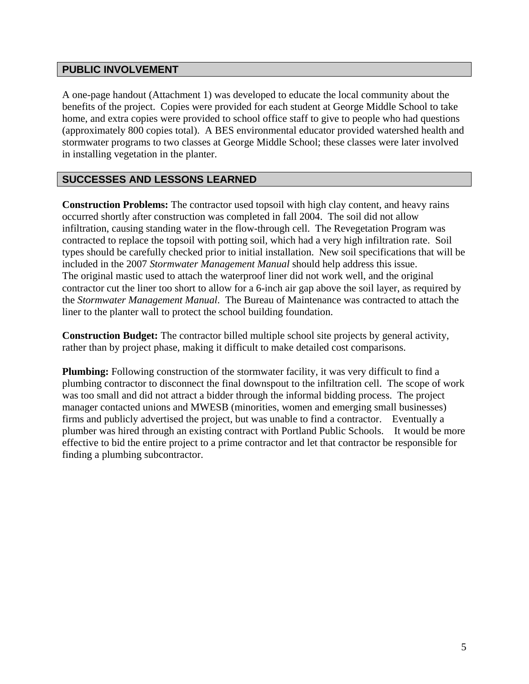#### **PUBLIC INVOLVEMENT**

A one-page handout (Attachment 1) was developed to educate the local community about the benefits of the project. Copies were provided for each student at George Middle School to take home, and extra copies were provided to school office staff to give to people who had questions (approximately 800 copies total). A BES environmental educator provided watershed health and stormwater programs to two classes at George Middle School; these classes were later involved in installing vegetation in the planter.

## **SUCCESSES AND LESSONS LEARNED**

**Construction Problems:** The contractor used topsoil with high clay content, and heavy rains occurred shortly after construction was completed in fall 2004. The soil did not allow infiltration, causing standing water in the flow-through cell. The Revegetation Program was contracted to replace the topsoil with potting soil, which had a very high infiltration rate. Soil types should be carefully checked prior to initial installation. New soil specifications that will be included in the 2007 *Stormwater Management Manual* should help address this issue. The original mastic used to attach the waterproof liner did not work well, and the original contractor cut the liner too short to allow for a 6-inch air gap above the soil layer, as required by the *Stormwater Management Manual*. The Bureau of Maintenance was contracted to attach the liner to the planter wall to protect the school building foundation.

**Construction Budget:** The contractor billed multiple school site projects by general activity, rather than by project phase, making it difficult to make detailed cost comparisons.

**Plumbing:** Following construction of the stormwater facility, it was very difficult to find a plumbing contractor to disconnect the final downspout to the infiltration cell. The scope of work was too small and did not attract a bidder through the informal bidding process. The project manager contacted unions and MWESB (minorities, women and emerging small businesses) firms and publicly advertised the project, but was unable to find a contractor. Eventually a plumber was hired through an existing contract with Portland Public Schools. It would be more effective to bid the entire project to a prime contractor and let that contractor be responsible for finding a plumbing subcontractor.